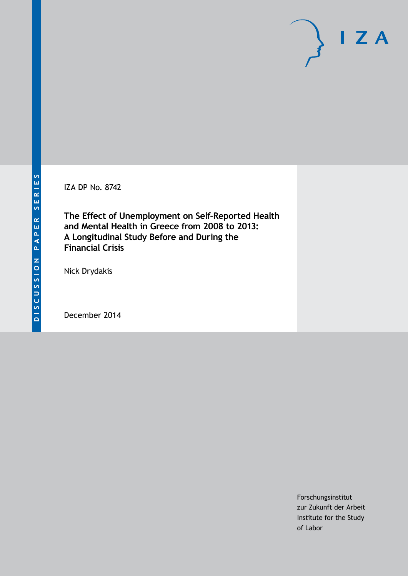IZA DP No. 8742

**The Effect of Unemployment on Self-Reported Health and Mental Health in Greece from 2008 to 2013: A Longitudinal Study Before and During the Financial Crisis**

Nick Drydakis

December 2014

Forschungsinstitut zur Zukunft der Arbeit Institute for the Study of Labor

 $I Z A$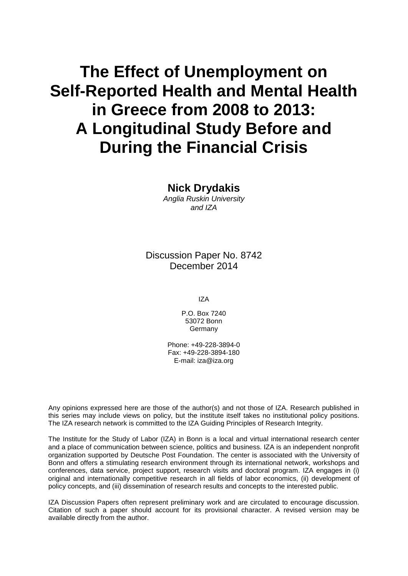# **The Effect of Unemployment on Self-Reported Health and Mental Health in Greece from 2008 to 2013: A Longitudinal Study Before and During the Financial Crisis**

### **Nick Drydakis**

*Anglia Ruskin University and IZA*

Discussion Paper No. 8742 December 2014

IZA

P.O. Box 7240 53072 Bonn Germany

Phone: +49-228-3894-0 Fax: +49-228-3894-180 E-mail: [iza@iza.org](mailto:iza@iza.org)

Any opinions expressed here are those of the author(s) and not those of IZA. Research published in this series may include views on policy, but the institute itself takes no institutional policy positions. The IZA research network is committed to the IZA Guiding Principles of Research Integrity.

The Institute for the Study of Labor (IZA) in Bonn is a local and virtual international research center and a place of communication between science, politics and business. IZA is an independent nonprofit organization supported by Deutsche Post Foundation. The center is associated with the University of Bonn and offers a stimulating research environment through its international network, workshops and conferences, data service, project support, research visits and doctoral program. IZA engages in (i) original and internationally competitive research in all fields of labor economics, (ii) development of policy concepts, and (iii) dissemination of research results and concepts to the interested public.

IZA Discussion Papers often represent preliminary work and are circulated to encourage discussion. Citation of such a paper should account for its provisional character. A revised version may be available directly from the author.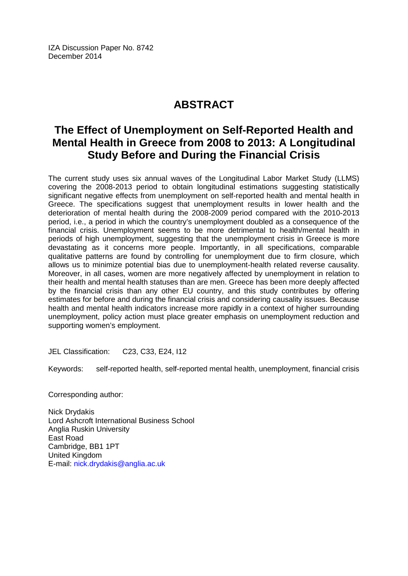IZA Discussion Paper No. 8742 December 2014

## **ABSTRACT**

## **The Effect of Unemployment on Self-Reported Health and Mental Health in Greece from 2008 to 2013: A Longitudinal Study Before and During the Financial Crisis**

The current study uses six annual waves of the Longitudinal Labor Market Study (LLMS) covering the 2008-2013 period to obtain longitudinal estimations suggesting statistically significant negative effects from unemployment on self-reported health and mental health in Greece. The specifications suggest that unemployment results in lower health and the deterioration of mental health during the 2008-2009 period compared with the 2010-2013 period, i.e., a period in which the country's unemployment doubled as a consequence of the financial crisis. Unemployment seems to be more detrimental to health/mental health in periods of high unemployment, suggesting that the unemployment crisis in Greece is more devastating as it concerns more people. Importantly, in all specifications, comparable qualitative patterns are found by controlling for unemployment due to firm closure, which allows us to minimize potential bias due to unemployment-health related reverse causality. Moreover, in all cases, women are more negatively affected by unemployment in relation to their health and mental health statuses than are men. Greece has been more deeply affected by the financial crisis than any other EU country, and this study contributes by offering estimates for before and during the financial crisis and considering causality issues. Because health and mental health indicators increase more rapidly in a context of higher surrounding unemployment, policy action must place greater emphasis on unemployment reduction and supporting women's employment.

JEL Classification: C23, C33, E24, I12

Keywords: self-reported health, self-reported mental health, unemployment, financial crisis

Corresponding author:

Nick Drydakis Lord Ashcroft International Business School Anglia Ruskin University East Road Cambridge, BB1 1PT United Kingdom E-mail: [nick.drydakis@anglia.ac.uk](mailto:nick.drydakis@anglia.ac.uk)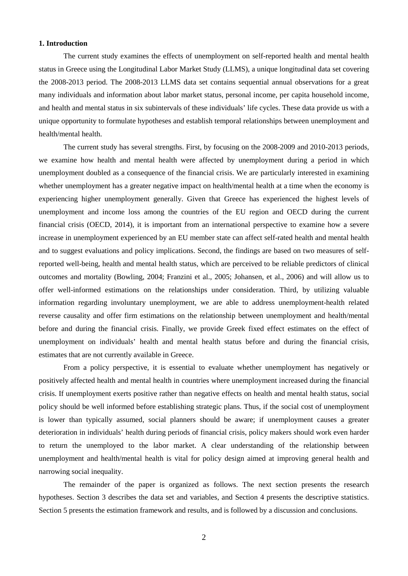#### **1. Introduction**

The current study examines the effects of unemployment on self-reported health and mental health status in Greece using the Longitudinal Labor Market Study (LLMS), a unique longitudinal data set covering the 2008-2013 period. The 2008-2013 LLMS data set contains sequential annual observations for a great many individuals and information about labor market status, personal income, per capita household income, and health and mental status in six subintervals of these individuals' life cycles. These data provide us with a unique opportunity to formulate hypotheses and establish temporal relationships between unemployment and health/mental health.

The current study has several strengths. First, by focusing on the 2008-2009 and 2010-2013 periods, we examine how health and mental health were affected by unemployment during a period in which unemployment doubled as a consequence of the financial crisis. We are particularly interested in examining whether unemployment has a greater negative impact on health/mental health at a time when the economy is experiencing higher unemployment generally. Given that Greece has experienced the highest levels of unemployment and income loss among the countries of the EU region and OECD during the current financial crisis (OECD, 2014), it is important from an international perspective to examine how a severe increase in unemployment experienced by an EU member state can affect self-rated health and mental health and to suggest evaluations and policy implications. Second, the findings are based on two measures of selfreported well-being, health and mental health status, which are perceived to be reliable predictors of clinical outcomes and mortality (Bowling, 2004; Franzini et al., 2005; Johansen, et al., 2006) and will allow us to offer well-informed estimations on the relationships under consideration. Third, by utilizing valuable information regarding involuntary unemployment, we are able to address unemployment-health related reverse causality and offer firm estimations on the relationship between unemployment and health/mental before and during the financial crisis. Finally, we provide Greek fixed effect estimates on the effect of unemployment on individuals' health and mental health status before and during the financial crisis, estimates that are not currently available in Greece.

From a policy perspective, it is essential to evaluate whether unemployment has negatively or positively affected health and mental health in countries where unemployment increased during the financial crisis. If unemployment exerts positive rather than negative effects on health and mental health status, social policy should be well informed before establishing strategic plans. Thus, if the social cost of unemployment is lower than typically assumed, social planners should be aware; if unemployment causes a greater deterioration in individuals' health during periods of financial crisis, policy makers should work even harder to return the unemployed to the labor market. A clear understanding of the relationship between unemployment and health/mental health is vital for policy design aimed at improving general health and narrowing social inequality.

The remainder of the paper is organized as follows. The next section presents the research hypotheses. Section 3 describes the data set and variables, and Section 4 presents the descriptive statistics. Section 5 presents the estimation framework and results, and is followed by a discussion and conclusions.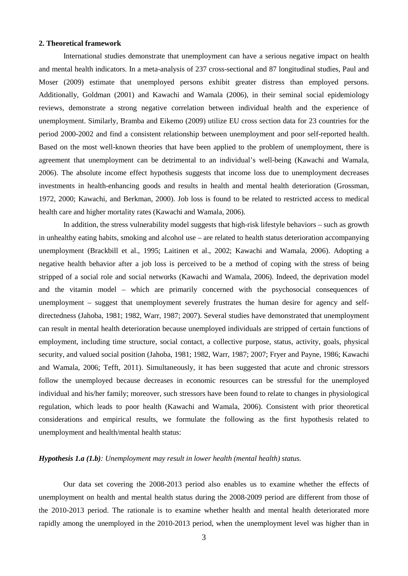#### **2. Theoretical framework**

International studies demonstrate that unemployment can have a serious negative impact on health and mental health indicators. In a meta-analysis of 237 cross-sectional and 87 longitudinal studies, Paul and Moser (2009) estimate that unemployed persons exhibit greater distress than employed persons. Additionally, Goldman (2001) and Kawachi and Wamala (2006), in their seminal social epidemiology reviews, demonstrate a strong negative correlation between individual health and the experience of unemployment. Similarly, Bramba and Eikemo (2009) utilize EU cross section data for 23 countries for the period 2000-2002 and find a consistent relationship between unemployment and poor self-reported health. Based on the most well-known theories that have been applied to the problem of unemployment, there is agreement that unemployment can be detrimental to an individual's well-being (Kawachi and Wamala, 2006). The absolute income effect hypothesis suggests that income loss due to unemployment decreases investments in health-enhancing goods and results in health and mental health deterioration (Grossman, 1972, 2000; Kawachi, and Berkman, 2000). Job loss is found to be related to restricted access to medical health care and higher mortality rates (Kawachi and Wamala, 2006).

In addition, the stress vulnerability model suggests that high-risk lifestyle behaviors – such as growth in unhealthy eating habits, smoking and alcohol use – are related to health status deterioration accompanying unemployment (Brackbill et al., 1995; Laitinen et al., 2002; Kawachi and Wamala, 2006). Adopting a negative health behavior after a job loss is perceived to be a method of coping with the stress of being stripped of a social role and social networks (Kawachi and Wamala, 2006). Indeed, the deprivation model and the vitamin model – which are primarily concerned with the psychosocial consequences of unemployment – suggest that unemployment severely frustrates the human desire for agency and selfdirectedness (Jahoba, 1981; 1982, Warr, 1987; 2007). Several studies have demonstrated that unemployment can result in mental health deterioration because unemployed individuals are stripped of certain functions of employment, including time structure, social contact, a collective purpose, status, activity, goals, physical security, and valued social position (Jahoba, 1981; 1982, Warr, 1987; 2007; Fryer and Payne, 1986; Kawachi and Wamala, 2006; Tefft, 2011). Simultaneously, it has been suggested that acute and chronic stressors follow the unemployed because decreases in economic resources can be stressful for the unemployed individual and his/her family; moreover, such stressors have been found to relate to changes in physiological regulation, which leads to poor health (Kawachi and Wamala, 2006). Consistent with prior theoretical considerations and empirical results, we formulate the following as the first hypothesis related to unemployment and health/mental health status:

#### *Hypothesis 1.a (1.b): Unemployment may result in lower health (mental health) status.*

Our data set covering the 2008-2013 period also enables us to examine whether the effects of unemployment on health and mental health status during the 2008-2009 period are different from those of the 2010-2013 period. The rationale is to examine whether health and mental health deteriorated more rapidly among the unemployed in the 2010-2013 period, when the unemployment level was higher than in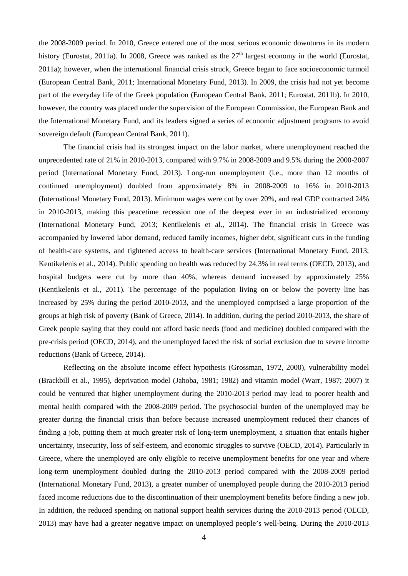the 2008-2009 period. In 2010, Greece entered one of the most serious economic downturns in its modern history (Eurostat, 2011a). In 2008, Greece was ranked as the  $27<sup>th</sup>$  largest economy in the world (Eurostat, 2011a); however, when the international financial crisis struck, Greece began to face socioeconomic turmoil (European Central Bank, 2011; International Monetary Fund, 2013). In 2009, the crisis had not yet become part of the everyday life of the Greek population (European Central Bank, 2011; Eurostat, 2011b). In 2010, however, the country was placed under the supervision of the European Commission, the European Bank and the International Monetary Fund, and its leaders signed a series of economic adjustment programs to avoid sovereign default (European Central Bank, 2011).

The financial crisis had its strongest impact on the labor market, where unemployment reached the unprecedented rate of 21% in 2010-2013, compared with 9.7% in 2008-2009 and 9.5% during the 2000-2007 period (International Monetary Fund, 2013). Long-run unemployment (i.e., more than 12 months of continued unemployment) doubled from approximately 8% in 2008-2009 to 16% in 2010-2013 (International Monetary Fund, 2013). Minimum wages were cut by over 20%, and real GDP contracted 24% in 2010-2013, making this peacetime recession one of the deepest ever in an industrialized economy (International Monetary Fund, 2013; Kentikelenis et al., 2014). The financial crisis in Greece was accompanied by lowered labor demand, reduced family incomes, higher debt, significant cuts in the funding of health-care systems, and tightened access to health-care services (International Monetary Fund, 2013; Kentikelenis et al., 2014). Public spending on health was reduced by 24.3% in real terms (OECD, 2013), and hospital budgets were cut by more than 40%, whereas demand increased by approximately 25% (Kentikelenis et al., 2011). The percentage of the population living on or below the poverty line has increased by 25% during the period 2010-2013, and the unemployed comprised a large proportion of the groups at high risk of poverty (Bank of Greece, 2014). In addition, during the period 2010-2013, the share of Greek people saying that they could not afford basic needs (food and medicine) doubled compared with the pre-crisis period (OECD, 2014), and the unemployed faced the risk of social exclusion due to severe income reductions (Bank of Greece, 2014).

Reflecting on the absolute income effect hypothesis (Grossman, 1972, 2000), vulnerability model (Brackbill et al., 1995), deprivation model (Jahoba, 1981; 1982) and vitamin model (Warr, 1987; 2007) it could be ventured that higher unemployment during the 2010-2013 period may lead to poorer health and mental health compared with the 2008-2009 period. The psychosocial burden of the unemployed may be greater during the financial crisis than before because increased unemployment reduced their chances of finding a job, putting them at much greater risk of long-term unemployment, a situation that entails higher uncertainty, insecurity, loss of self-esteem, and economic struggles to survive (OECD, 2014). Particularly in Greece, where the unemployed are only eligible to receive unemployment benefits for one year and where long-term unemployment doubled during the 2010-2013 period compared with the 2008-2009 period (International Monetary Fund, 2013), a greater number of unemployed people during the 2010-2013 period faced income reductions due to the discontinuation of their unemployment benefits before finding a new job. In addition, the reduced spending on national support health services during the 2010-2013 period (OECD, 2013) may have had a greater negative impact on unemployed people's well-being. During the 2010-2013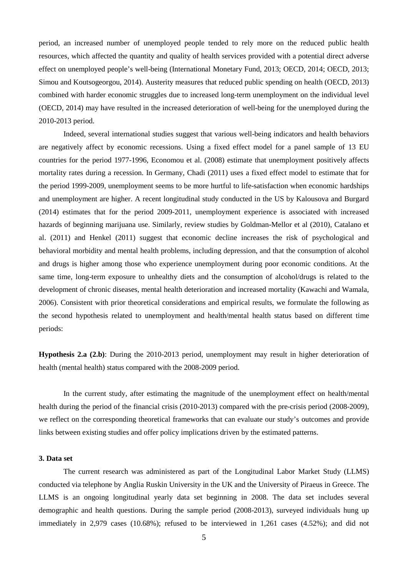period, an increased number of unemployed people tended to rely more on the reduced public health resources, which affected the quantity and quality of health services provided with a potential direct adverse effect on unemployed people's well-being (International Monetary Fund, 2013; OECD, 2014; OECD, 2013; Simou and Koutsogeorgou, 2014). Austerity measures that reduced public spending on health (OECD, 2013) combined with harder economic struggles due to increased long-term unemployment on the individual level (OECD, 2014) may have resulted in the increased deterioration of well-being for the unemployed during the 2010-2013 period.

Indeed, several international studies suggest that various well-being indicators and health behaviors are negatively affect by economic recessions. Using a fixed effect model for a panel sample of 13 EU countries for the period 1977-1996, Economou et al. (2008) estimate that unemployment positively affects mortality rates during a recession. In Germany, Chadi (2011) uses a fixed effect model to estimate that for the period 1999-2009, unemployment seems to be more hurtful to life-satisfaction when economic hardships and unemployment are higher. A recent longitudinal study conducted in the US by Kalousova and Burgard (2014) estimates that for the period 2009-2011, unemployment experience is associated with increased hazards of beginning marijuana use. Similarly, review studies by Goldman-Mellor et al (2010), Catalano et al. (2011) and Henkel (2011) suggest that economic decline increases the risk of psychological and behavioral morbidity and mental health problems, including depression, and that the consumption of alcohol and drugs is higher among those who experience unemployment during poor economic conditions. At the same time, long-term exposure to unhealthy diets and the consumption of alcohol/drugs is related to the development of chronic diseases, mental health deterioration and increased mortality (Kawachi and Wamala, 2006). Consistent with prior theoretical considerations and empirical results, we formulate the following as the second hypothesis related to unemployment and health/mental health status based on different time periods:

**Hypothesis 2.a (2.b)**: During the 2010-2013 period, unemployment may result in higher deterioration of health (mental health) status compared with the 2008-2009 period.

In the current study, after estimating the magnitude of the unemployment effect on health/mental health during the period of the financial crisis (2010-2013) compared with the pre-crisis period (2008-2009), we reflect on the corresponding theoretical frameworks that can evaluate our study's outcomes and provide links between existing studies and offer policy implications driven by the estimated patterns.

#### **3. Data set**

The current research was administered as part of the Longitudinal Labor Market Study (LLMS) conducted via telephone by Anglia Ruskin University in the UK and the University of Piraeus in Greece. The LLMS is an ongoing longitudinal yearly data set beginning in 2008. The data set includes several demographic and health questions. During the sample period (2008-2013), surveyed individuals hung up immediately in 2,979 cases (10.68%); refused to be interviewed in 1,261 cases (4.52%); and did not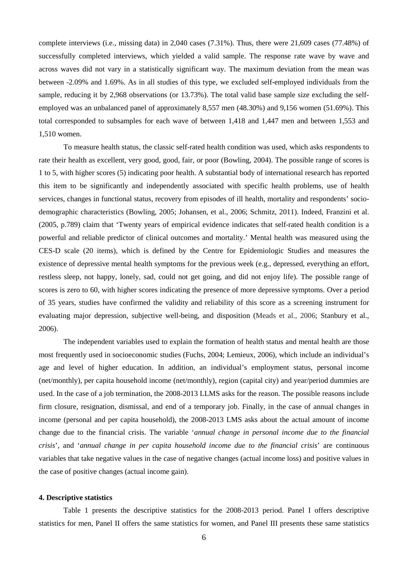complete interviews (i.e., missing data) in 2,040 cases (7.31%). Thus, there were 21,609 cases (77.48%) of successfully completed interviews, which yielded a valid sample. The response rate wave by wave and across waves did not vary in a statistically significant way. The maximum deviation from the mean was between -2.09% and 1.69%. As in all studies of this type, we excluded self-employed individuals from the sample, reducing it by 2,968 observations (or 13.73%). The total valid base sample size excluding the selfemployed was an unbalanced panel of approximately 8,557 men (48.30%) and 9,156 women (51.69%). This total corresponded to subsamples for each wave of between 1,418 and 1,447 men and between 1,553 and 1,510 women.

To measure health status, the classic self-rated health condition was used, which asks respondents to rate their health as excellent, very good, good, fair, or poor (Bowling, 2004). The possible range of scores is 1 to 5, with higher scores (5) indicating poor health. A substantial body of international research has reported this item to be significantly and independently associated with specific health problems, use of health services, changes in functional status, recovery from episodes of ill health, mortality and respondents' sociodemographic characteristics (Bowling, 2005; Johansen, et al., 2006; Schmitz, 2011). Indeed, Franzini et al. (2005, p.789) claim that 'Twenty years of empirical evidence indicates that self-rated health condition is a powerful and reliable predictor of clinical outcomes and mortality.' Mental health was measured using the CES-D scale (20 items), which is defined by the Centre for Epidemiologic Studies and measures the existence of depressive mental health symptoms for the previous week (e.g., depressed, everything an effort, restless sleep, not happy, lonely, sad, could not get going, and did not enjoy life). The possible range of scores is zero to 60, with higher scores indicating the presence of more depressive symptoms. Over a period of 35 years, studies have confirmed the validity and reliability of this score as a screening instrument for evaluating major depression, subjective well-being, and disposition (Meads et al., 2006; Stanbury et al., 2006).

The independent variables used to explain the formation of health status and mental health are those most frequently used in socioeconomic studies (Fuchs, 2004; Lemieux, 2006), which include an individual's age and level of higher education. In addition, an individual's employment status, personal income (net/monthly), per capita household income (net/monthly), region (capital city) and year/period dummies are used. In the case of a job termination, the 2008-2013 LLMS asks for the reason. The possible reasons include firm closure, resignation, dismissal, and end of a temporary job. Finally, in the case of annual changes in income (personal and per capita household), the 2008-2013 LMS asks about the actual amount of income change due to the financial crisis. The variable '*annual change in personal income due to the financial crisis*', and '*annual change in per capita household income due to the financial crisis*' are continuous variables that take negative values in the case of negative changes (actual income loss) and positive values in the case of positive changes (actual income gain).

#### **4. Descriptive statistics**

Table 1 presents the descriptive statistics for the 2008-2013 period. Panel I offers descriptive statistics for men, Panel II offers the same statistics for women, and Panel III presents these same statistics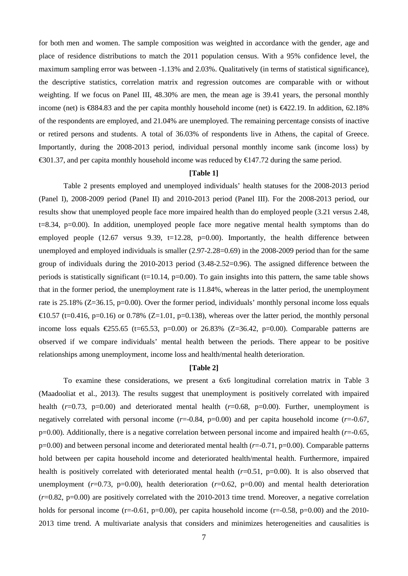for both men and women. The sample composition was weighted in accordance with the gender, age and place of residence distributions to match the 2011 population census. With a 95% confidence level, the maximum sampling error was between -1.13% and 2.03%. Qualitatively (in terms of statistical significance), the descriptive statistics, correlation matrix and regression outcomes are comparable with or without weighting. If we focus on Panel III, 48.30% are men, the mean age is 39.41 years, the personal monthly income (net) is  $\text{\textsterling}884.83$  and the per capita monthly household income (net) is  $\text{\textsterling}422.19$ . In addition, 62.18% of the respondents are employed, and 21.04% are unemployed. The remaining percentage consists of inactive or retired persons and students. A total of 36.03% of respondents live in Athens, the capital of Greece. Importantly, during the 2008-2013 period, individual personal monthly income sank (income loss) by €301.37, and per capita monthly household income was reduced by €147.72 during the same period.

#### **[Table 1]**

Table 2 presents employed and unemployed individuals' health statuses for the 2008-2013 period (Panel I), 2008-2009 period (Panel II) and 2010-2013 period (Panel III). For the 2008-2013 period, our results show that unemployed people face more impaired health than do employed people (3.21 versus 2.48, t=8.34, p=0.00). In addition, unemployed people face more negative mental health symptoms than do employed people  $(12.67 \text{ versus } 9.39, t=12.28, p=0.00)$ . Importantly, the health difference between unemployed and employed individuals is smaller (2.97-2.28=0.69) in the 2008-2009 period than for the same group of individuals during the 2010-2013 period (3.48-2.52=0.96). The assigned difference between the periods is statistically significant ( $t=10.14$ ,  $p=0.00$ ). To gain insights into this pattern, the same table shows that in the former period, the unemployment rate is 11.84%, whereas in the latter period, the unemployment rate is 25.18% (Z=36.15, p=0.00). Over the former period, individuals' monthly personal income loss equals  $\in$  0.57 (t=0.416, p=0.16) or 0.78% (Z=1.01, p=0.138), whereas over the latter period, the monthly personal income loss equals  $\text{\textsterling}55.65$  (t=65.53, p=0.00) or 26.83% (Z=36.42, p=0.00). Comparable patterns are observed if we compare individuals' mental health between the periods. There appear to be positive relationships among unemployment, income loss and health/mental health deterioration.

#### **[Table 2]**

To examine these considerations, we present a 6x6 longitudinal correlation matrix in Table 3 (Maadooliat et al., 2013). The results suggest that unemployment is positively correlated with impaired health  $(r=0.73, p=0.00)$  and deteriorated mental health  $(r=0.68, p=0.00)$ . Further, unemployment is negatively correlated with personal income  $(r=0.84, p=0.00)$  and per capita household income  $(r=0.67, p=0.67)$ p=0.00). Additionally, there is a negative correlation between personal income and impaired health (*r*=-0.65, p=0.00) and between personal income and deteriorated mental health (*r*=-0.71, p=0.00). Comparable patterns hold between per capita household income and deteriorated health/mental health. Furthermore, impaired health is positively correlated with deteriorated mental health ( $r=0.51$ ,  $p=0.00$ ). It is also observed that unemployment ( $r=0.73$ ,  $p=0.00$ ), health deterioration ( $r=0.62$ ,  $p=0.00$ ) and mental health deterioration (*r*=0.82, p=0.00) are positively correlated with the 2010-2013 time trend. Moreover, a negative correlation holds for personal income (r=-0.61, p=0.00), per capita household income (r=-0.58, p=0.00) and the 2010-2013 time trend. A multivariate analysis that considers and minimizes heterogeneities and causalities is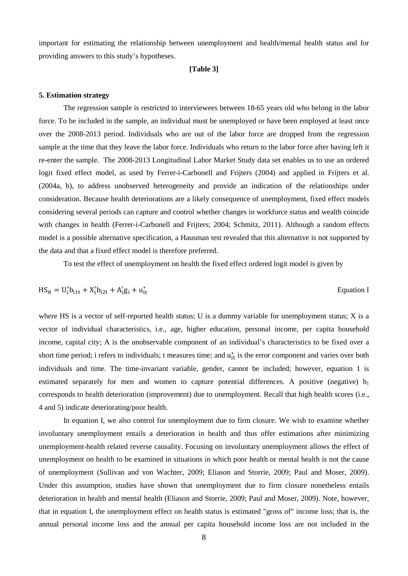important for estimating the relationship between unemployment and health/mental health status and for providing answers to this study's hypotheses.

#### **[Table 3]**

#### **5. Estimation strategy**

The regression sample is restricted to interviewees between 18-65 years old who belong in the labor force. To be included in the sample, an individual must be unemployed or have been employed at least once over the 2008-2013 period. Individuals who are out of the labor force are dropped from the regression sample at the time that they leave the labor force. Individuals who return to the labor force after having left it re-enter the sample. The 2008-2013 Longitudinal Labor Market Study data set enables us to use an ordered logit fixed effect model, as used by Ferrer-i-Carbonell and Frijters (2004) and applied in Frijters et al. (2004a, b), to address unobserved heterogeneity and provide an indication of the relationships under consideration. Because health deteriorations are a likely consequence of unemployment, fixed effect models considering several periods can capture and control whether changes in workforce status and wealth coincide with changes in health (Ferrer-i-Carbonell and Frijters; 2004; Schmitz, 2011). Although a random effects model is a possible alternative specification, a Hausman test revealed that this alternative is not supported by the data and that a fixed effect model is therefore preferred.

To test the effect of unemployment on health the fixed effect ordered logit model is given by

$$
HS_{it} = U'_i b_{i1t} + X'_i b_{i2t} + A'_i g_i + u^*_{it}
$$
 Equation I

where HS is a vector of self-reported health status; U is a dummy variable for unemployment status; X is a vector of individual characteristics, i.e., age, higher education, personal income, per capita household income, capital city; A is the unobservable component of an individual's characteristics to be fixed over a short time period; i refers to individuals; t measures time; and  $u_{it}^{*}$  is the error component and varies over both individuals and time. The time-invariant variable, gender, cannot be included; however, equation 1 is estimated separately for men and women to capture potential differences. A positive (negative)  $b_1$ corresponds to health deterioration (improvement) due to unemployment. Recall that high health scores (i.e., 4 and 5) indicate deteriorating/poor health.

In equation I, we also control for unemployment due to firm closure. We wish to examine whether involuntary unemployment entails a deterioration in health and thus offer estimations after minimizing unemployment-health related reverse causality. Focusing on involuntary unemployment allows the effect of unemployment on health to be examined in situations in which poor health or mental health is not the cause of unemployment (Sullivan and von Wachter, 2009; Eliason and Storrie, 2009; Paul and Moser, 2009). Under this assumption, studies have shown that unemployment due to firm closure nonetheless entails deterioration in health and mental health (Eliason and Storrie, 2009; Paul and Moser, 2009). Note, however, that in equation I, the unemployment effect on health status is estimated "gross of" income loss; that is, the annual personal income loss and the annual per capita household income loss are not included in the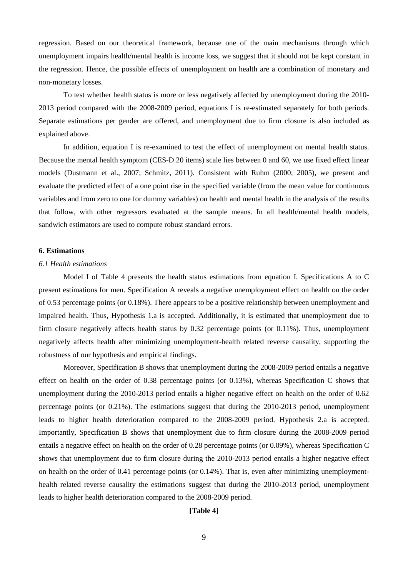regression. Based on our theoretical framework, because one of the main mechanisms through which unemployment impairs health/mental health is income loss, we suggest that it should not be kept constant in the regression. Hence, the possible effects of unemployment on health are a combination of monetary and non-monetary losses.

To test whether health status is more or less negatively affected by unemployment during the 2010- 2013 period compared with the 2008-2009 period, equations I is re-estimated separately for both periods. Separate estimations per gender are offered, and unemployment due to firm closure is also included as explained above.

In addition, equation I is re-examined to test the effect of unemployment on mental health status. Because the mental health symptom (CES-D 20 items) scale lies between 0 and 60, we use fixed effect linear models (Dustmann et al., 2007; Schmitz, 2011). Consistent with Ruhm (2000; 2005), we present and evaluate the predicted effect of a one point rise in the specified variable (from the mean value for continuous variables and from zero to one for dummy variables) on health and mental health in the analysis of the results that follow, with other regressors evaluated at the sample means. In all health/mental health models, sandwich estimators are used to compute robust standard errors.

#### **6. Estimations**

#### *6.1 Health estimations*

Model I of Table 4 presents the health status estimations from equation I. Specifications A to C present estimations for men. Specification A reveals a negative unemployment effect on health on the order of 0.53 percentage points (or 0.18%). There appears to be a positive relationship between unemployment and impaired health. Thus, Hypothesis 1.a is accepted. Additionally, it is estimated that unemployment due to firm closure negatively affects health status by 0.32 percentage points (or 0.11%). Thus, unemployment negatively affects health after minimizing unemployment-health related reverse causality, supporting the robustness of our hypothesis and empirical findings.

Moreover, Specification B shows that unemployment during the 2008-2009 period entails a negative effect on health on the order of 0.38 percentage points (or 0.13%), whereas Specification C shows that unemployment during the 2010-2013 period entails a higher negative effect on health on the order of 0.62 percentage points (or 0.21%). The estimations suggest that during the 2010-2013 period, unemployment leads to higher health deterioration compared to the 2008-2009 period. Hypothesis 2.a is accepted. Importantly, Specification B shows that unemployment due to firm closure during the 2008-2009 period entails a negative effect on health on the order of 0.28 percentage points (or 0.09%), whereas Specification C shows that unemployment due to firm closure during the 2010-2013 period entails a higher negative effect on health on the order of 0.41 percentage points (or 0.14%). That is, even after minimizing unemploymenthealth related reverse causality the estimations suggest that during the 2010-2013 period, unemployment leads to higher health deterioration compared to the 2008-2009 period.

#### **[Table 4]**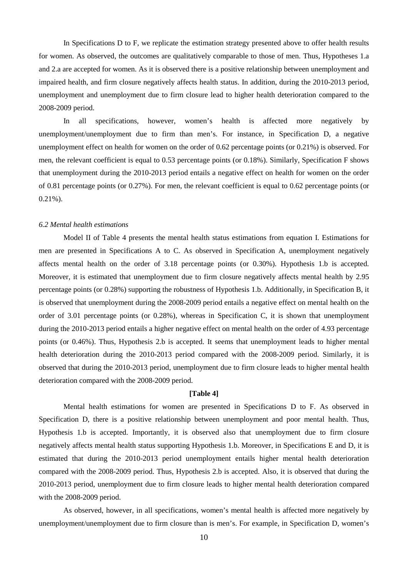In Specifications D to F, we replicate the estimation strategy presented above to offer health results for women. As observed, the outcomes are qualitatively comparable to those of men. Thus, Hypotheses 1.a and 2.a are accepted for women. As it is observed there is a positive relationship between unemployment and impaired health, and firm closure negatively affects health status. In addition, during the 2010-2013 period, unemployment and unemployment due to firm closure lead to higher health deterioration compared to the 2008-2009 period.

In all specifications, however, women's health is affected more negatively by unemployment/unemployment due to firm than men's. For instance, in Specification D, a negative unemployment effect on health for women on the order of 0.62 percentage points (or 0.21%) is observed. For men, the relevant coefficient is equal to 0.53 percentage points (or 0.18%). Similarly, Specification F shows that unemployment during the 2010-2013 period entails a negative effect on health for women on the order of 0.81 percentage points (or 0.27%). For men, the relevant coefficient is equal to 0.62 percentage points (or 0.21%).

#### *6.2 Mental health estimations*

Model II of Table 4 presents the mental health status estimations from equation I. Estimations for men are presented in Specifications A to C. As observed in Specification A, unemployment negatively affects mental health on the order of 3.18 percentage points (or 0.30%). Hypothesis 1.b is accepted. Moreover, it is estimated that unemployment due to firm closure negatively affects mental health by 2.95 percentage points (or 0.28%) supporting the robustness of Hypothesis 1.b. Additionally, in Specification B, it is observed that unemployment during the 2008-2009 period entails a negative effect on mental health on the order of 3.01 percentage points (or 0.28%), whereas in Specification C, it is shown that unemployment during the 2010-2013 period entails a higher negative effect on mental health on the order of 4.93 percentage points (or 0.46%). Thus, Hypothesis 2.b is accepted. It seems that unemployment leads to higher mental health deterioration during the 2010-2013 period compared with the 2008-2009 period. Similarly, it is observed that during the 2010-2013 period, unemployment due to firm closure leads to higher mental health deterioration compared with the 2008-2009 period.

#### **[Table 4]**

Mental health estimations for women are presented in Specifications D to F. As observed in Specification D, there is a positive relationship between unemployment and poor mental health. Thus, Hypothesis 1.b is accepted. Importantly, it is observed also that unemployment due to firm closure negatively affects mental health status supporting Hypothesis 1.b. Moreover, in Specifications E and D, it is estimated that during the 2010-2013 period unemployment entails higher mental health deterioration compared with the 2008-2009 period. Thus, Hypothesis 2.b is accepted. Also, it is observed that during the 2010-2013 period, unemployment due to firm closure leads to higher mental health deterioration compared with the 2008-2009 period.

As observed, however, in all specifications, women's mental health is affected more negatively by unemployment/unemployment due to firm closure than is men's. For example, in Specification D, women's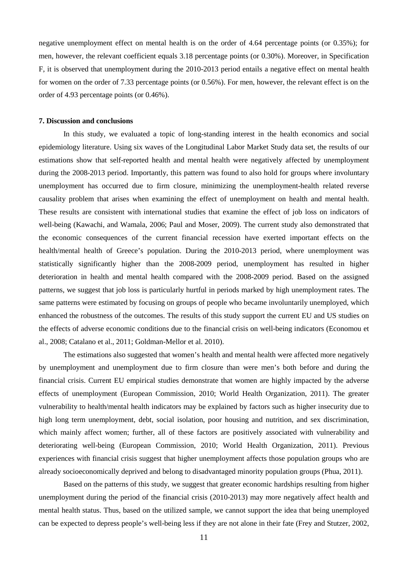negative unemployment effect on mental health is on the order of 4.64 percentage points (or 0.35%); for men, however, the relevant coefficient equals 3.18 percentage points (or 0.30%). Moreover, in Specification F, it is observed that unemployment during the 2010-2013 period entails a negative effect on mental health for women on the order of 7.33 percentage points (or 0.56%). For men, however, the relevant effect is on the order of 4.93 percentage points (or 0.46%).

#### **7. Discussion and conclusions**

In this study, we evaluated a topic of long-standing interest in the health economics and social epidemiology literature. Using six waves of the Longitudinal Labor Market Study data set, the results of our estimations show that self-reported health and mental health were negatively affected by unemployment during the 2008-2013 period. Importantly, this pattern was found to also hold for groups where involuntary unemployment has occurred due to firm closure, minimizing the unemployment-health related reverse causality problem that arises when examining the effect of unemployment on health and mental health. These results are consistent with international studies that examine the effect of job loss on indicators of well-being (Kawachi, and Wamala, 2006; Paul and Moser, 2009). The current study also demonstrated that the economic consequences of the current financial recession have exerted important effects on the health/mental health of Greece's population. During the 2010-2013 period, where unemployment was statistically significantly higher than the 2008-2009 period, unemployment has resulted in higher deterioration in health and mental health compared with the 2008-2009 period. Based on the assigned patterns, we suggest that job loss is particularly hurtful in periods marked by high unemployment rates. The same patterns were estimated by focusing on groups of people who became involuntarily unemployed, which enhanced the robustness of the outcomes. The results of this study support the current EU and US studies on the effects of adverse economic conditions due to the financial crisis on well-being indicators (Economou et al., 2008; Catalano et al., 2011; Goldman-Mellor et al. 2010).

The estimations also suggested that women's health and mental health were affected more negatively by unemployment and unemployment due to firm closure than were men's both before and during the financial crisis. Current EU empirical studies demonstrate that women are highly impacted by the adverse effects of unemployment (European Commission, 2010; World Health Organization, 2011). The greater vulnerability to health/mental health indicators may be explained by factors such as higher insecurity due to high long term unemployment, debt, social isolation, poor housing and nutrition, and sex discrimination, which mainly affect women; further, all of these factors are positively associated with vulnerability and deteriorating well-being (European Commission, 2010; World Health Organization, 2011). Previous experiences with financial crisis suggest that higher unemployment affects those population groups who are already socioeconomically deprived and belong to disadvantaged minority population groups (Phua, 2011).

Based on the patterns of this study, we suggest that greater economic hardships resulting from higher unemployment during the period of the financial crisis (2010-2013) may more negatively affect health and mental health status. Thus, based on the utilized sample, we cannot support the idea that being unemployed can be expected to depress people's well-being less if they are not alone in their fate (Frey and Stutzer, 2002,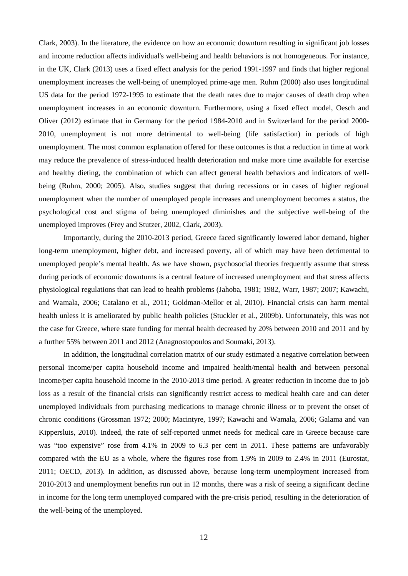Clark, 2003). In the literature, the evidence on how an economic downturn resulting in significant job losses and income reduction affects individual's well-being and health behaviors is not homogeneous. For instance, in the UK, Clark (2013) uses a fixed effect analysis for the period 1991-1997 and finds that higher regional unemployment increases the well-being of unemployed prime-age men. Ruhm (2000) also uses longitudinal US data for the period 1972-1995 to estimate that the death rates due to major causes of death drop when unemployment increases in an economic downturn. Furthermore, using a fixed effect model, Oesch and Oliver (2012) estimate that in Germany for the period 1984-2010 and in Switzerland for the period 2000- 2010, unemployment is not more detrimental to well-being (life satisfaction) in periods of high unemployment. The most common explanation offered for these outcomes is that a reduction in time at work may reduce the prevalence of stress-induced health deterioration and make more time available for exercise and healthy dieting, the combination of which can affect general health behaviors and indicators of wellbeing (Ruhm, 2000; 2005). Also, studies suggest that during recessions or in cases of higher regional unemployment when the number of unemployed people increases and unemployment becomes a status, the psychological cost and stigma of being unemployed diminishes and the subjective well-being of the unemployed improves (Frey and Stutzer, 2002, Clark, 2003).

Importantly, during the 2010-2013 period, Greece faced significantly lowered labor demand, higher long-term unemployment, higher debt, and increased poverty, all of which may have been detrimental to unemployed people's mental health. As we have shown, psychosocial theories frequently assume that stress during periods of economic downturns is a central feature of increased unemployment and that stress affects physiological regulations that can lead to health problems (Jahoba, 1981; 1982, Warr, 1987; 2007; Kawachi, and Wamala, 2006; Catalano et al., 2011; Goldman-Mellor et al, 2010). Financial crisis can harm mental health unless it is ameliorated by public health policies (Stuckler et al., 2009b). Unfortunately, this was not the case for Greece, where state funding for mental health decreased by 20% between 2010 and 2011 and by a further 55% between 2011 and 2012 (Anagnostopoulos and Soumaki, 2013).

In addition, the longitudinal correlation matrix of our study estimated a negative correlation between personal income/per capita household income and impaired health/mental health and between personal income*/*per capita household income in the 2010-2013 time period. A greater reduction in income due to job loss as a result of the financial crisis can significantly restrict access to medical health care and can deter unemployed individuals from purchasing medications to manage chronic illness or to prevent the onset of chronic conditions (Grossman 1972; 2000; Macintyre, 1997; Kawachi and Wamala, 2006; Galama and van Kippersluis, 2010). Indeed, the rate of self-reported unmet needs for medical care in Greece because care was "too expensive" rose from 4.1% in 2009 to 6.3 per cent in 2011. These patterns are unfavorably compared with the EU as a whole, where the figures rose from 1.9% in 2009 to 2.4% in 2011 (Eurostat, 2011; OECD, 2013). In addition, as discussed above, because long-term unemployment increased from 2010-2013 and unemployment benefits run out in 12 months, there was a risk of seeing a significant decline in income for the long term unemployed compared with the pre-crisis period, resulting in the deterioration of the well-being of the unemployed.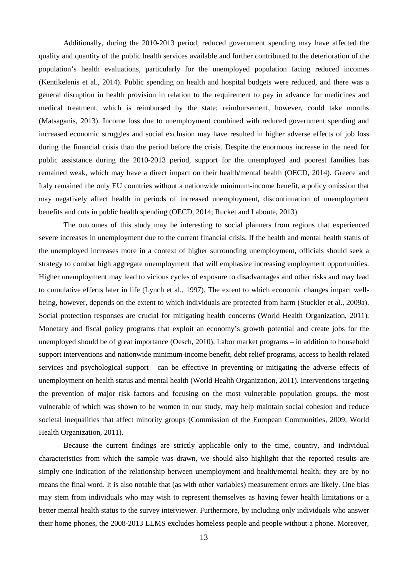Additionally, during the 2010-2013 period, reduced government spending may have affected the quality and quantity of the public health services available and further contributed to the deterioration of the population's health evaluations, particularly for the unemployed population facing reduced incomes (Kentikelenis et al., 2014). Public spending on health and hospital budgets were reduced, and there was a general disruption in health provision in relation to the requirement to pay in advance for medicines and medical treatment, which is reimbursed by the state; reimbursement, however, could take months (Matsaganis, 2013). Income loss due to unemployment combined with reduced government spending and increased economic struggles and social exclusion may have resulted in higher adverse effects of job loss during the financial crisis than the period before the crisis. Despite the enormous increase in the need for public assistance during the 2010-2013 period, support for the unemployed and poorest families has remained weak, which may have a direct impact on their health/mental health (OECD, 2014). Greece and Italy remained the only EU countries without a nationwide minimum-income benefit, a policy omission that may negatively affect health in periods of increased unemployment, discontinuation of unemployment benefits and cuts in public health spending (OECD, 2014; Rucket and Labonte, 2013).

The outcomes of this study may be interesting to social planners from regions that experienced severe increases in unemployment due to the current financial crisis. If the health and mental health status of the unemployed increases more in a context of higher surrounding unemployment, officials should seek a strategy to combat high aggregate unemployment that will emphasize increasing employment opportunities. Higher unemployment may lead to vicious cycles of exposure to disadvantages and other risks and may lead to cumulative effects later in life (Lynch et al., 1997). The extent to which economic changes impact wellbeing, however, depends on the extent to which individuals are protected from harm (Stuckler et al., 2009a). Social protection responses are crucial for mitigating health concerns (World Health Organization, 2011). Monetary and fiscal policy programs that exploit an economy's growth potential and create jobs for the unemployed should be of great importance (Oesch, 2010). Labor market programs – in addition to household support interventions and nationwide minimum-income benefit, debt relief programs, access to health related services and psychological support – can be effective in preventing or mitigating the adverse effects of unemployment on health status and mental health (World Health Organization, 2011). Interventions targeting the prevention of major risk factors and focusing on the most vulnerable population groups, the most vulnerable of which was shown to be women in our study, may help maintain social cohesion and reduce societal inequalities that affect minority groups (Commission of the European Communities, 2009; World Health Organization, 2011).

Because the current findings are strictly applicable only to the time, country, and individual characteristics from which the sample was drawn, we should also highlight that the reported results are simply one indication of the relationship between unemployment and health/mental health; they are by no means the final word. It is also notable that (as with other variables) measurement errors are likely. One bias may stem from individuals who may wish to represent themselves as having fewer health limitations or a better mental health status to the survey interviewer. Furthermore, by including only individuals who answer their home phones, the 2008-2013 LLMS excludes homeless people and people without a phone. Moreover,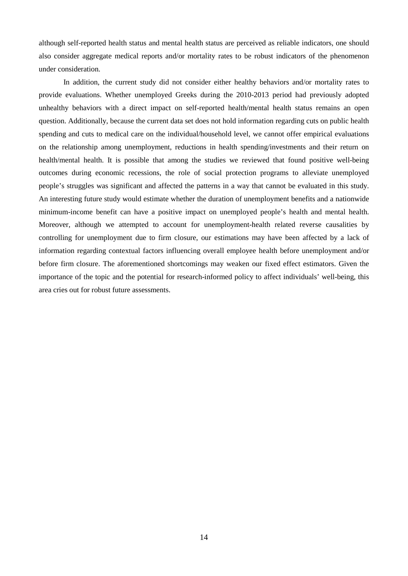although self-reported health status and mental health status are perceived as reliable indicators, one should also consider aggregate medical reports and/or mortality rates to be robust indicators of the phenomenon under consideration.

In addition, the current study did not consider either healthy behaviors and/or mortality rates to provide evaluations. Whether unemployed Greeks during the 2010-2013 period had previously adopted unhealthy behaviors with a direct impact on self-reported health/mental health status remains an open question. Additionally, because the current data set does not hold information regarding cuts on public health spending and cuts to medical care on the individual/household level, we cannot offer empirical evaluations on the relationship among unemployment, reductions in health spending/investments and their return on health/mental health. It is possible that among the studies we reviewed that found positive well-being outcomes during economic recessions, the role of social protection programs to alleviate unemployed people's struggles was significant and affected the patterns in a way that cannot be evaluated in this study. An interesting future study would estimate whether the duration of unemployment benefits and a nationwide minimum-income benefit can have a positive impact on unemployed people's health and mental health. Moreover, although we attempted to account for unemployment-health related reverse causalities by controlling for unemployment due to firm closure, our estimations may have been affected by a lack of information regarding contextual factors influencing overall employee health before unemployment and/or before firm closure. The aforementioned shortcomings may weaken our fixed effect estimators. Given the importance of the topic and the potential for research-informed policy to affect individuals' well-being, this area cries out for robust future assessments.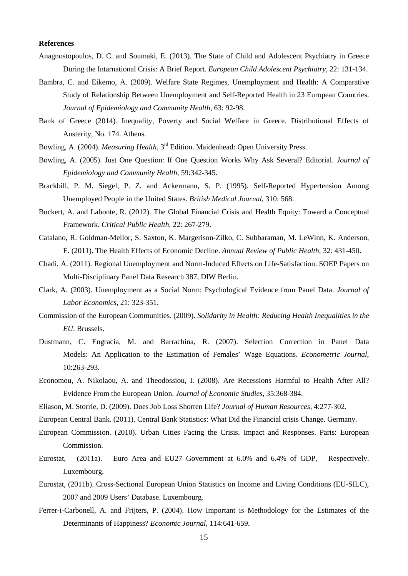#### **References**

- Anagnostopoulos, D. C. and Soumaki, E. (2013). The State of Child and Adolescent Psychiatry in Greece During the Intarnational Crisis: A Brief Report. *European Child Adolescent Psychiatry*, 22: 131-134.
- Bambra, C. and Eikemo, A. (2009). Welfare State Regimes, Unemployment and Health: A Comparative Study of Relationship Between Unemployment and Self-Reported Health in 23 European Countries. *Journal of Epidemiology and Community Health*, 63: 92-98.
- Bank of Greece (2014). Inequality, Poverty and Social Welfare in Greece. Distributional Effects of Austerity, No. 174. Athens.
- Bowling, A. (2004). *Measuring Health*, 3rd Edition. Maidenhead: Open University Press.
- Bowling, A. (2005). Just One Question: If One Question Works Why Ask Several? Editorial. *Journal of Epidemiology and Community Health*, 59:342-345.
- Brackbill, P. M. Siegel, P. Z. and Ackermann, S. P. (1995). Self-Reported Hypertension Among Unemployed People in the United States. *British Medical Journal*, 310: 568.
- Buckert, A. and Labonte, R. (2012). The Global Financial Crisis and Health Equity: Toward a Conceptual Framework. *Critical Public Health*, 22: 267-279.
- Catalano, R. Goldman-Mellor, S. Saxton, K. Margerison-Zilko, C. Subbaraman, M. LeWinn, K. Anderson, E. (2011). The Health Effects of Economic Decline. *Annual Review of Public Health*, 32: 431-450.
- Chadi, A. (2011). Regional Unemployment and Norm-Induced Effects on Life-Satisfaction. SOEP Papers on Multi-Disciplinary Panel Data Research 387, DIW Berlin.
- Clark, A. (2003). Unemployment as a Social Norm: Psychological Evidence from Panel Data. *Journal of Labor Economics*, 21: 323-351.
- Commission of the European Communities. (2009). *Solidarity in Health: Reducing Health Inequalities in the EU*. Brussels.
- Dustmann, C. Engracia, M. and Barrachina, R. (2007). Selection Correction in Panel Data Models:\_An\_Application\_to\_the\_Estimation\_of\_Females'\_Wage\_Equations. *Econometric Journal*, 10:263-293.
- Economou, A. Nikolaou, A. and Theodossiou, I. (2008). Are Recessions Harmful to Health After All? Evidence From the European Union. *Journal of Economic Studies*, 35:368-384.
- Eliason, M. Storrie, D. (2009). Does Job Loss Shorten Life? *Journal of Human Resources*, 4:277-302.
- European Central Bank. (2011). Central Bank Statistics: What Did the Financial crisis Change. Germany.
- European Commission. (2010). Urban Cities Facing the Crisis. Impact and Responses. Paris: European Commission.
- Eurostat, (2011a). Euro Area and EU27 Government at 6.0% and 6.4% of GDP, Respectively. Luxembourg.
- Eurostat, (2011b). Cross-Sectional European Union Statistics on Income and Living Conditions (EU-SILC), 2007 and 2009 Users' Database. Luxembourg.
- Ferrer-i-Carbonell, A. and Frijters, P. (2004). How Important is Methodology for the Estimates of the Determinants of Happiness? *Economic Journal*, 114:641-659.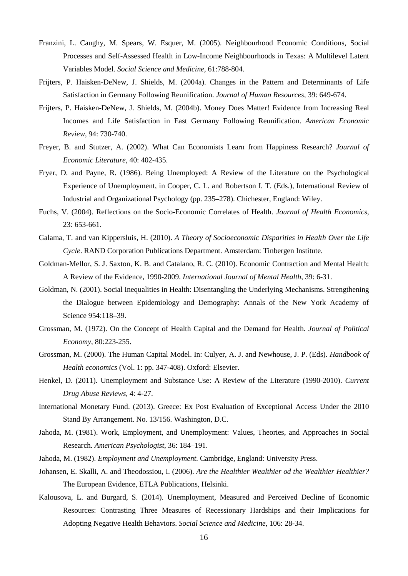- Franzini, L. Caughy, M. Spears, W. Esquer, M. (2005). Neighbourhood Economic Conditions, Social Processes and Self-Assessed Health in Low-Income Neighbourhoods in Texas: A Multilevel Latent Variables Model. *Social Science and Medicine*, 61:788-804.
- Frijters, P. Haisken-DeNew, J. Shields, M. (2004a). Changes in the Pattern and Determinants of Life Satisfaction in Germany Following Reunification. *Journal of Human Resources*, 39: 649-674.
- Frijters, P. Haisken-DeNew, J. Shields, M. (2004b). Money Does Matter! Evidence from Increasing Real Incomes and Life Satisfaction in East Germany Following Reunification. *American Economic Review*, 94: 730-740.
- Freyer, B. and Stutzer, A. (2002). What Can Economists Learn from Happiness Research? *Journal of Economic Literature*, 40: 402-435.
- Fryer, D. and Payne, R. (1986). Being Unemployed: A Review of the Literature on the Psychological Experience of Unemployment, in Cooper, C. L. and Robertson I. T. (Eds.), International Review of Industrial and Organizational Psychology (pp. 235–278). Chichester, England: Wiley.
- Fuchs, V. (2004). Reflections on the Socio-Economic Correlates of Health. *Journal of Health Economics*, 23: 653-661.
- Galama, T. and van Kippersluis, H. (2010). *A Theory of Socioeconomic Disparities in Health Over the Life Cycle*. RAND Corporation Publications Department. Amsterdam: Tinbergen Institute.
- Goldman-Mellor, S. J. Saxton, K. B. and Catalano, R. C. (2010). Economic Contraction and Mental Health: A Review of the Evidence, 1990-2009. *International Journal of Mental Health*, 39: 6-31.
- Goldman, N. (2001). Social Inequalities in Health: Disentangling the Underlying Mechanisms. Strengthening the Dialogue between Epidemiology and Demography: Annals of the New York Academy of Science 954:118–39.
- Grossman, M. (1972). On the Concept of Health Capital and the Demand for Health. *Journal of Political Economy*, 80:223-255.
- Grossman, M. (2000). The Human Capital Model. In: Culyer, A. J. and Newhouse, J. P. (Eds). *Handbook of Health economics* (Vol. 1: pp. 347-408). Oxford: Elsevier.
- Henkel, D. (2011). Unemployment and Substance Use: A Review of the Literature (1990-2010). *Current Drug Abuse Reviews*, 4: 4-27.
- International Monetary Fund. (2013). Greece: Ex Post Evaluation of Exceptional Access Under the 2010 Stand By Arrangement. No. 13/156. Washington, D.C.
- Jahoda, M. (1981). Work, Employment, and Unemployment: Values, Theories, and Approaches in Social Research. *American Psychologist*, 36: 184–191.
- Jahoda, M. (1982). *Employment and Unemployment*. Cambridge, England: University Press.
- Johansen, E. Skalli, A. and Theodossiou, I. (2006). *Are the Healthier Wealthier od the Wealthier Healthier?*  The European Evidence, ETLA Publications, Helsinki.
- Kalousova, L. and Burgard, S. (2014). Unemployment, Measured and Perceived Decline of Economic Resources: Contrasting Three Measures of Recessionary Hardships and their Implications for Adopting Negative Health Behaviors. *Social Science and Medicine*, 106: 28-34.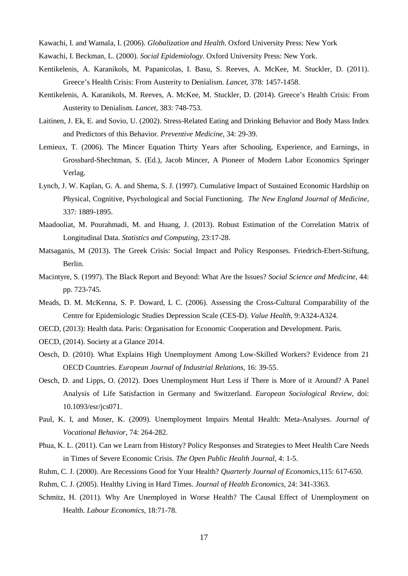Kawachi, I. and Wamala, I. (2006). *Globalization and Health*. Oxford University Press: New York

Kawachi, I. Beckman, L. (2000). *Social Epidemiology*. Oxford University Press: New York.

- Kentikelenis, A. Karanikols, M. Papanicolas, I. Basu, S. Reeves, A. McKee, M. Stuckler, D. (2011). Greece's Health Crisis: From Austerity to Denialism. *Lancet*, 378: 1457-1458.
- Kentikelenis, A. Karanikols, M. Reeves, A. McKee, M. Stuckler, D. (2014). Greece's Health Crisis: From Austerity to Denialism. *Lancet*, 383: 748-753.
- Laitinen, J. Ek, E. and Sovio, U. (2002). Stress-Related Eating and Drinking Behavior and Body Mass Index and Predictors of this Behavior. *Preventive Medicine*, 34: 29-39.
- Lemieux, T. (2006). The Mincer Equation Thirty Years after Schooling, Experience, and Earnings, in Grossbard-Shechtman, S. (Ed.), Jacob Mincer, A Pioneer of Modern Labor Economics Springer Verlag.
- Lynch, J. W. Kaplan, G. A. and Shema, S. J. (1997). Cumulative Impact of Sustained Economic Hardship on Physical, Cognitive, Psychological and Social Functioning. *The New England Journal of Medicine*, 337: 1889-1895.
- Maadooliat, M. Pourahmadi, M. and Huang, J. (2013). Robust Estimation of the Correlation Matrix of Longitudinal Data. *Statistics and Computing*, 23:17-28.
- Matsaganis, M (2013). The Greek Crisis: Social Impact and Policy Responses. Friedrich-Ebert-Stiftung, Berlin.
- Macintyre, S. (1997). The Black Report and Beyond: What Are the Issues? *Social Science and Medicine*, 44: pp. 723-745.
- Meads, D. M. McKenna, S. P. Doward, L C. (2006). Assessing the Cross-Cultural Comparability of the Centre for Epidemiologic Studies Depression Scale (CES-D). *Value Health*, 9:A324-A324.
- OECD, (2013): Health data. Paris: Organisation for Economic Cooperation and Development. Paris.
- OECD, (2014). Society at a Glance 2014.
- Oesch, D. (2010). What Explains High Unemployment Among Low-Skilled Workers? Evidence from 21 OECD Countries. *European Journal of Industrial Relations*, 16: 39-55.
- Oesch, D. and Lipps, O. (2012). Does Unemployment Hurt Less if There is More of it Around? A Panel Analysis of Life Satisfaction in Germany and Switzerland. *European Sociological Review*, doi: 10.1093/esr/jcs071.
- Paul, K. I, and Moser, K. (2009). Unemployment Impairs Mental Health: Meta-Analyses. *Journal of Vocational Behavior*, 74: 264-282.
- Phua, K. L. (2011). Can we Learn from History? Policy Responses and Strategies to Meet Health Care Needs in Times of Severe Economic Crisis. *The Open Public Health Journal*, 4: 1-5.
- Ruhm, C. J. (2000). Are Recessions Good for Your Health? *Quarterly Journal of Economics*,115: 617-650.
- Ruhm, C. J. (2005). Healthy Living in Hard Times. *Journal of Health Economics*, 24: 341-3363.
- Schmitz, H. (2011). Why Are Unemployed in Worse Health? The Causal Effect of Unemployment on Health. *Labour Economics*, 18:71-78.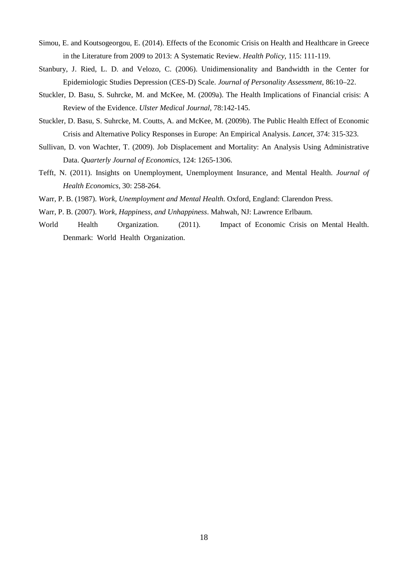- Simou, E. and Koutsogeorgou, E. (2014). Effects of the Economic Crisis on Health and Healthcare in Greece in the Literature from 2009 to 2013: A Systematic Review. *Health Policy*, 115: 111-119.
- Stanbury, J. Ried, L. D. and Velozo, C. (2006). Unidimensionality and Bandwidth in the Center for Epidemiologic Studies Depression (CES-D) Scale. *Journal of Personality Assessment*, 86:10–22.
- Stuckler, D. Basu, S. Suhrcke, M. and McKee, M. (2009a). The Health Implications of Financial crisis: A Review of the Evidence. *Ulster Medical Journal*, 78:142-145.
- Stuckler, D. Basu, S. Suhrcke, M. Coutts, A. and McKee, M. (2009b). The Public Health Effect of Economic Crisis and Alternative Policy Responses in Europe: An Empirical Analysis. *Lancet*, 374: 315-323.
- Sullivan, D. von Wachter, T. (2009). Job Displacement and Mortality: An Analysis Using Administrative Data. *Quarterly Journal of Economics*, 124: 1265-1306.
- Tefft, N. (2011). Insights on Unemployment, Unemployment Insurance, and Mental Health. *Journal of Health Economics*, 30: 258-264.
- Warr, P. B. (1987). *Work, Unemployment and Mental Health*. Oxford, England: Clarendon Press.
- Warr, P. B. (2007). *Work, Happiness, and Unhappiness*. Mahwah, NJ: Lawrence Erlbaum.
- World Health Organization. (2011). Impact of Economic Crisis on Mental Health. Denmark: World Health Organization.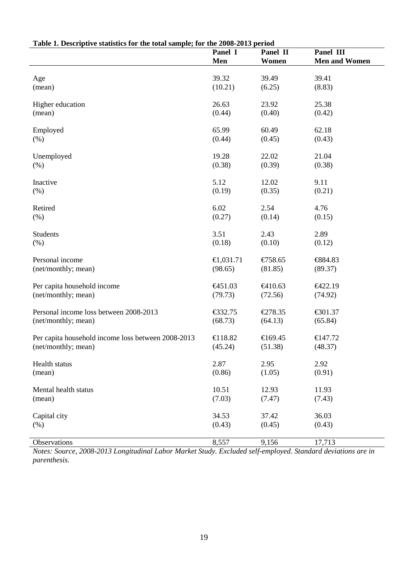| Table 1. Descriptive statistics for the total sample; for the 2008-2013 period |           |          |                      |
|--------------------------------------------------------------------------------|-----------|----------|----------------------|
|                                                                                | Panel I   | Panel II | Panel III            |
|                                                                                | Men       | Women    | <b>Men and Women</b> |
|                                                                                |           |          |                      |
| Age                                                                            | 39.32     | 39.49    | 39.41                |
| (mean)                                                                         | (10.21)   | (6.25)   | (8.83)               |
|                                                                                |           |          |                      |
| Higher education                                                               | 26.63     | 23.92    | 25.38                |
| (mean)                                                                         | (0.44)    | (0.40)   | (0.42)               |
|                                                                                |           |          |                      |
| Employed                                                                       | 65.99     | 60.49    | 62.18                |
| (% )                                                                           | (0.44)    | (0.45)   | (0.43)               |
|                                                                                |           |          |                      |
| Unemployed                                                                     | 19.28     | 22.02    | 21.04                |
| (% )                                                                           | (0.38)    | (0.39)   | (0.38)               |
|                                                                                |           |          |                      |
| Inactive                                                                       | 5.12      | 12.02    | 9.11                 |
|                                                                                |           |          |                      |
| (% )                                                                           | (0.19)    | (0.35)   | (0.21)               |
|                                                                                |           |          |                      |
| Retired                                                                        | 6.02      | 2.54     | 4.76                 |
| (% )                                                                           | (0.27)    | (0.14)   | (0.15)               |
|                                                                                |           |          |                      |
| <b>Students</b>                                                                | 3.51      | 2.43     | 2.89                 |
| $(\%)$                                                                         | (0.18)    | (0.10)   | (0.12)               |
|                                                                                |           |          |                      |
| Personal income                                                                | €1,031.71 | €758.65  | €884.83              |
| (net/monthly; mean)                                                            | (98.65)   | (81.85)  | (89.37)              |
|                                                                                |           |          |                      |
| Per capita household income                                                    | €451.03   | €410.63  | €422.19              |
| (net/monthly; mean)                                                            | (79.73)   | (72.56)  | (74.92)              |
|                                                                                |           |          |                      |
| Personal income loss between 2008-2013                                         | €32.75    | €278.35  | € $01.37$            |
| (net/monthly; mean)                                                            | (68.73)   | (64.13)  | (65.84)              |
|                                                                                |           |          |                      |
| Per capita household income loss between 2008-2013                             | €18.82    | €169.45  | € $147.72$           |
| (net/monthly; mean)                                                            | (45.24)   | (51.38)  | (48.37)              |
|                                                                                |           |          |                      |
| Health status                                                                  | 2.87      | 2.95     | 2.92                 |
| (mean)                                                                         | (0.86)    | (1.05)   | (0.91)               |
|                                                                                |           |          |                      |
| Mental health status                                                           | 10.51     | 12.93    | 11.93                |
| (mean)                                                                         | (7.03)    | (7.47)   | (7.43)               |
|                                                                                |           |          |                      |
| Capital city                                                                   | 34.53     | 37.42    | 36.03                |
| (% )                                                                           | (0.43)    | (0.45)   | (0.43)               |
|                                                                                |           |          |                      |
| Observations                                                                   | 8,557     | 9,156    | 17,713               |
|                                                                                |           |          |                      |

**Table 1. Descriptive statistics for the total sample; for the 2008-2013 period** 

*Notes: Source, 2008-2013 Longitudinal Labor Market Study. Excluded self-employed. Standard deviations are in parenthesis.*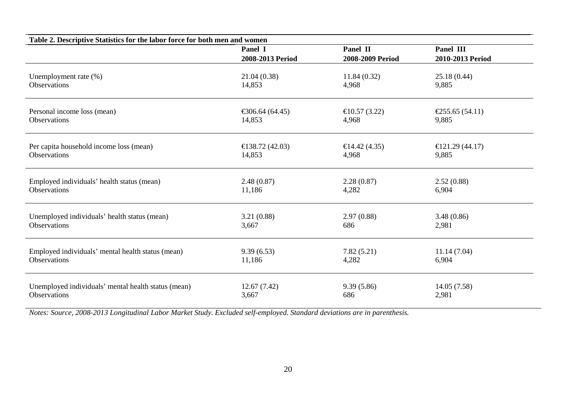| Table 2. Descriptive Statistics for the labor force for both men and women |                               |                         |                               |  |
|----------------------------------------------------------------------------|-------------------------------|-------------------------|-------------------------------|--|
|                                                                            | Panel I                       | Panel II                | Panel III                     |  |
|                                                                            | 2008-2013 Period              | 2008-2009 Period        | 2010-2013 Period              |  |
| Unemployment rate (%)                                                      | 21.04 (0.38)                  | 11.84(0.32)             | 25.18 (0.44)                  |  |
| <b>Observations</b>                                                        | 14,853                        | 4,968                   | 9,885                         |  |
| Personal income loss (mean)                                                | €306.64 $(64.45)$             | $\bigoplus$ 0.57 (3.22) | €255.65 $(54.11)$             |  |
| Observations                                                               | 14,853                        | 4,968                   | 9,885                         |  |
| Per capita household income loss (mean)                                    | $\triangleleft$ 38.72 (42.03) | $\bigoplus$ 4.42 (4.35) | $\triangleleft$ 21.29 (44.17) |  |
| Observations                                                               | 14,853                        | 4,968                   | 9,885                         |  |
| Employed individuals' health status (mean)                                 | 2.48(0.87)                    | 2.28(0.87)              | 2.52(0.88)                    |  |
| <b>Observations</b>                                                        | 11,186                        | 4,282                   | 6,904                         |  |
| Unemployed individuals' health status (mean)                               | 3.21(0.88)                    | 2.97(0.88)              | 3.48(0.86)                    |  |
| Observations                                                               | 3,667                         | 686                     | 2,981                         |  |
| Employed individuals' mental health status (mean)                          | 9.39(6.53)                    | 7.82(5.21)              | 11.14(7.04)                   |  |
| Observations                                                               | 11,186                        | 4,282                   | 6,904                         |  |
| Unemployed individuals' mental health status (mean)                        | 12.67(7.42)                   | 9.39(5.86)              | 14.05 (7.58)                  |  |
| Observations                                                               | 3,667                         | 686                     | 2,981                         |  |

*Notes: Source, 2008-2013 Longitudinal Labor Market Study. Excluded self-employed. Standard deviations are in parenthesis.*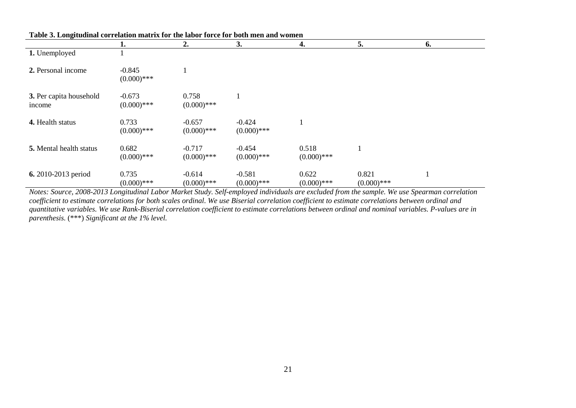|                                   | I.                        | 2.                        | 3.                        | 4.                     | 5.                     | 6. |
|-----------------------------------|---------------------------|---------------------------|---------------------------|------------------------|------------------------|----|
| 1. Unemployed                     |                           |                           |                           |                        |                        |    |
| 2. Personal income                | $-0.845$<br>$(0.000)$ *** |                           |                           |                        |                        |    |
| 3. Per capita household<br>income | $-0.673$<br>$(0.000)$ *** | 0.758<br>$(0.000)$ ***    |                           |                        |                        |    |
| 4. Health status                  | 0.733<br>$(0.000)$ ***    | $-0.657$<br>$(0.000)$ *** | $-0.424$<br>$(0.000)$ *** |                        |                        |    |
| 5. Mental health status           | 0.682<br>$(0.000)$ ***    | $-0.717$<br>$(0.000)$ *** | $-0.454$<br>$(0.000)$ *** | 0.518<br>$(0.000)$ *** |                        |    |
| 6.2010-2013 period                | 0.735<br>$(0.000)$ ***    | $-0.614$<br>$(0.000)$ *** | $-0.581$<br>$(0.000)$ *** | 0.622<br>$(0.000)$ *** | 0.821<br>$(0.000)$ *** |    |

#### **Table 3. Longitudinal correlation matrix for the labor force for both men and women**

*Notes: Source, 2008-2013 Longitudinal Labor Market Study. Self-employed individuals are excluded from the sample. We use Spearman correlation coefficient to estimate correlations for both scales ordinal. We use Biserial correlation coefficient to estimate correlations between ordinal and quantitative variables. We use Rank-Biserial correlation coefficient to estimate correlations between ordinal and nominal variables. P-values are in parenthesis.* (\*\*\*) *Significant at the 1% level.*